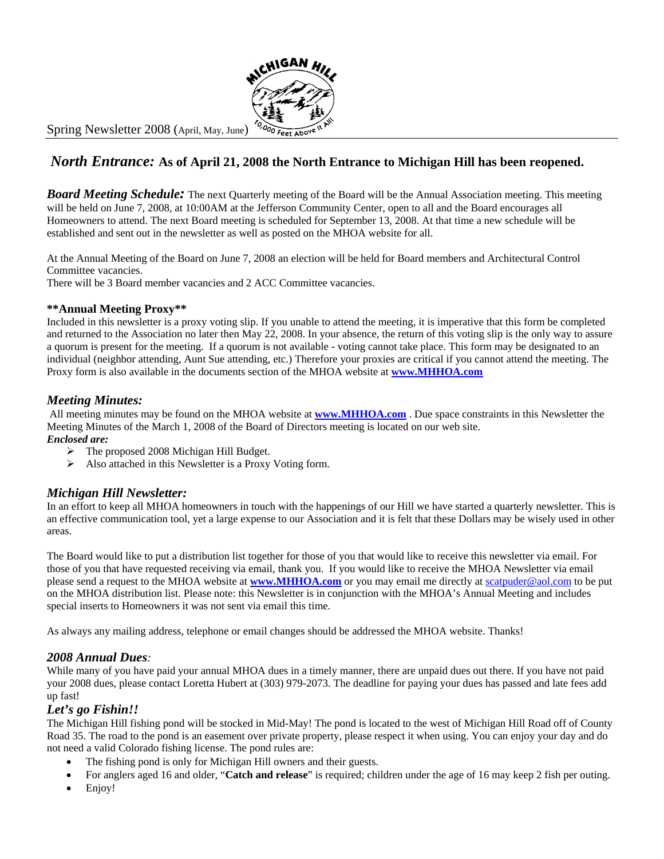

#### Spring Newsletter 2008 (April, May, June)

### *North Entrance:* **As of April 21, 2008 the North Entrance to Michigan Hill has been reopened.**

*Board Meeting Schedule:* The next Quarterly meeting of the Board will be the Annual Association meeting. This meeting will be held on June 7, 2008, at 10:00AM at the Jefferson Community Center, open to all and the Board encourages all Homeowners to attend. The next Board meeting is scheduled for September 13, 2008. At that time a new schedule will be established and sent out in the newsletter as well as posted on the MHOA website for all.

At the Annual Meeting of the Board on June 7, 2008 an election will be held for Board members and Architectural Control Committee vacancies.

There will be 3 Board member vacancies and 2 ACC Committee vacancies.

#### **\*\*Annual Meeting Proxy\*\***

Included in this newsletter is a proxy voting slip. If you unable to attend the meeting, it is imperative that this form be completed and returned to the Association no later then May 22, 2008. In your absence, the return of this voting slip is the only way to assure a quorum is present for the meeting. If a quorum is not available - voting cannot take place. This form may be designated to an individual (neighbor attending, Aunt Sue attending, etc.) Therefore your proxies are critical if you cannot attend the meeting. The Proxy form is also available in the documents section of the MHOA website at **www.MHHOA.com**

#### *Meeting Minutes:*

All meeting minutes may be found on the MHOA website at **www.MHHOA.com** . Due space constraints in this Newsletter the Meeting Minutes of the March 1, 2008 of the Board of Directors meeting is located on our web site. *Enclosed are:* 

- $\triangleright$  The proposed 2008 Michigan Hill Budget.
- ¾ Also attached in this Newsletter is a Proxy Voting form.

#### *Michigan Hill Newsletter:*

In an effort to keep all MHOA homeowners in touch with the happenings of our Hill we have started a quarterly newsletter. This is an effective communication tool, yet a large expense to our Association and it is felt that these Dollars may be wisely used in other areas.

The Board would like to put a distribution list together for those of you that would like to receive this newsletter via email. For those of you that have requested receiving via email, thank you. If you would like to receive the MHOA Newsletter via email please send a request to the MHOA website at **www.MHHOA.com** or you may email me directly at scatpuder@aol.com to be put on the MHOA distribution list. Please note: this Newsletter is in conjunction with the MHOA's Annual Meeting and includes special inserts to Homeowners it was not sent via email this time.

As always any mailing address, telephone or email changes should be addressed the MHOA website. Thanks!

#### *2008 Annual Dues:*

While many of you have paid your annual MHOA dues in a timely manner, there are unpaid dues out there. If you have not paid your 2008 dues, please contact Loretta Hubert at (303) 979-2073. The deadline for paying your dues has passed and late fees add up fast!

#### *Let's go Fishin!!*

The Michigan Hill fishing pond will be stocked in Mid-May! The pond is located to the west of Michigan Hill Road off of County Road 35. The road to the pond is an easement over private property, please respect it when using. You can enjoy your day and do not need a valid Colorado fishing license. The pond rules are:

- The fishing pond is only for Michigan Hill owners and their guests.
- For anglers aged 16 and older, "**Catch and release**" is required; children under the age of 16 may keep 2 fish per outing.
- Enjoy!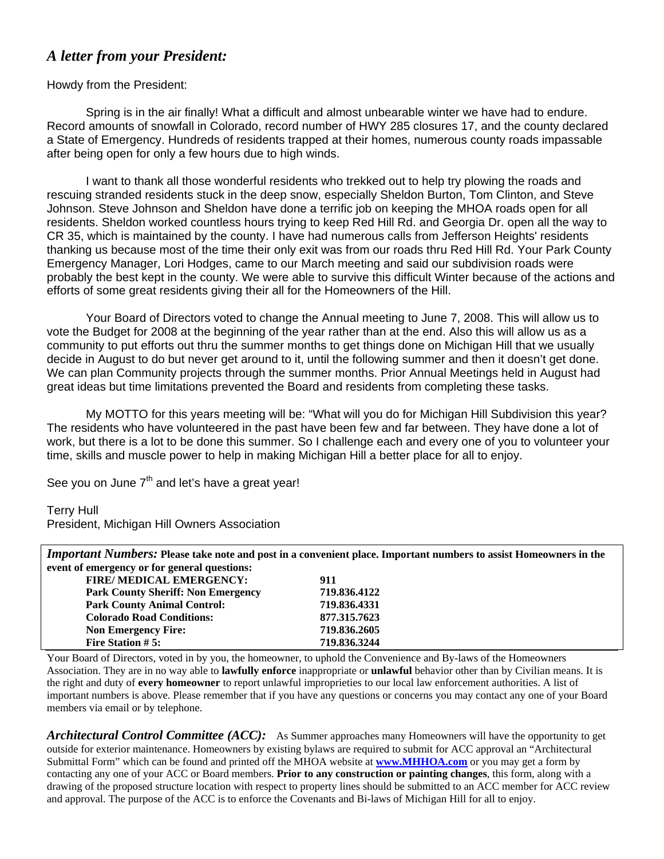## *A letter from your President:*

Howdy from the President:

Spring is in the air finally! What a difficult and almost unbearable winter we have had to endure. Record amounts of snowfall in Colorado, record number of HWY 285 closures 17, and the county declared a State of Emergency. Hundreds of residents trapped at their homes, numerous county roads impassable after being open for only a few hours due to high winds.

I want to thank all those wonderful residents who trekked out to help try plowing the roads and rescuing stranded residents stuck in the deep snow, especially Sheldon Burton, Tom Clinton, and Steve Johnson. Steve Johnson and Sheldon have done a terrific job on keeping the MHOA roads open for all residents. Sheldon worked countless hours trying to keep Red Hill Rd. and Georgia Dr. open all the way to CR 35, which is maintained by the county. I have had numerous calls from Jefferson Heights' residents thanking us because most of the time their only exit was from our roads thru Red Hill Rd. Your Park County Emergency Manager, Lori Hodges, came to our March meeting and said our subdivision roads were probably the best kept in the county. We were able to survive this difficult Winter because of the actions and efforts of some great residents giving their all for the Homeowners of the Hill.

Your Board of Directors voted to change the Annual meeting to June 7, 2008. This will allow us to vote the Budget for 2008 at the beginning of the year rather than at the end. Also this will allow us as a community to put efforts out thru the summer months to get things done on Michigan Hill that we usually decide in August to do but never get around to it, until the following summer and then it doesn't get done. We can plan Community projects through the summer months. Prior Annual Meetings held in August had great ideas but time limitations prevented the Board and residents from completing these tasks.

My MOTTO for this years meeting will be: "What will you do for Michigan Hill Subdivision this year? The residents who have volunteered in the past have been few and far between. They have done a lot of work, but there is a lot to be done this summer. So I challenge each and every one of you to volunteer your time, skills and muscle power to help in making Michigan Hill a better place for all to enjoy.

See you on June  $7<sup>th</sup>$  and let's have a great year!

Terry Hull

President, Michigan Hill Owners Association

*Important Numbers:* **Please take note and post in a convenient place. Important numbers to assist Homeowners in the event of emergency or for general questions: FIRE/ MEDICAL EMERGENCY: 911 Park County Sheriff: Non Emergency 719.836.4122 Park County Animal Control: 719.836.4331 Colorado Road Conditions: 877.315.7623 Non Emergency Fire: 719.836.2605 Fire Station # 5:** 719.836.3244

Your Board of Directors, voted in by you, the homeowner, to uphold the Convenience and By-laws of the Homeowners Association. They are in no way able to **lawfully enforce** inappropriate or **unlawful** behavior other than by Civilian means. It is the right and duty of **every homeowner** to report unlawful improprieties to our local law enforcement authorities. A list of important numbers is above. Please remember that if you have any questions or concerns you may contact any one of your Board members via email or by telephone.

*Architectural Control Committee (ACC):* As Summer approaches many Homeowners will have the opportunity to get outside for exterior maintenance. Homeowners by existing bylaws are required to submit for ACC approval an "Architectural Submittal Form" which can be found and printed off the MHOA website at **www.MHHOA.com** or you may get a form by contacting any one of your ACC or Board members. **Prior to any construction or painting changes**, this form, along with a drawing of the proposed structure location with respect to property lines should be submitted to an ACC member for ACC review and approval. The purpose of the ACC is to enforce the Covenants and Bi-laws of Michigan Hill for all to enjoy.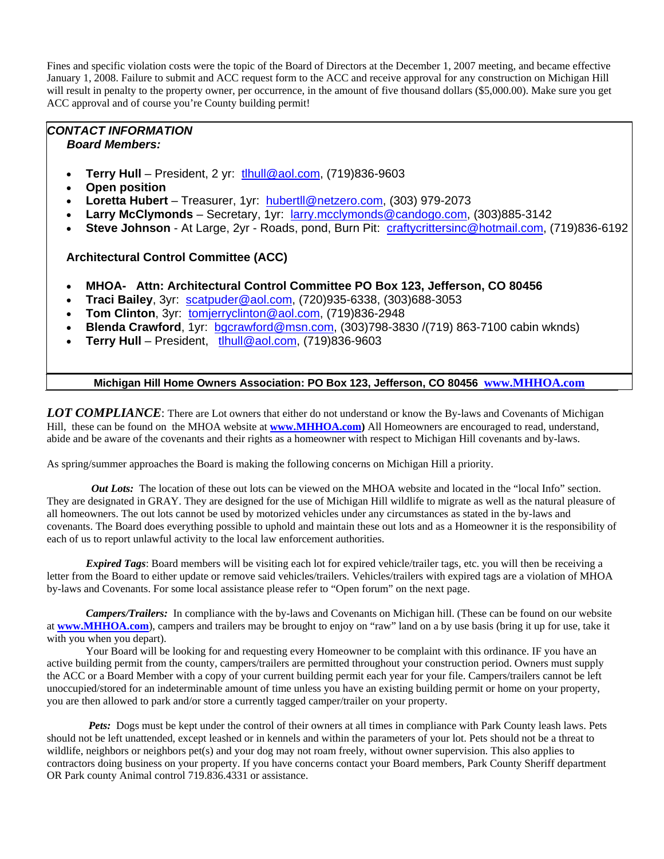Fines and specific violation costs were the topic of the Board of Directors at the December 1, 2007 meeting, and became effective January 1, 2008. Failure to submit and ACC request form to the ACC and receive approval for any construction on Michigan Hill will result in penalty to the property owner, per occurrence, in the amount of five thousand dollars (\$5,000.00). Make sure you get ACC approval and of course you're County building permit!

#### *CONTACT INFORMATION Board Members:*

- **Terry Hull** President, 2 yr: thull@aol.com, (719)836-9603
- **Open position**
- **Loretta Hubert** Treasurer, 1yr: hubertll@netzero.com, (303) 979-2073
- **Larry McClymonds** Secretary, 1yr: larry.mcclymonds@candogo.com, (303)885-3142
- **Steve Johnson** At Large, 2yr Roads, pond, Burn Pit: craftycrittersinc@hotmail.com, (719)836-6192

#### **Architectural Control Committee (ACC)**

- **MHOA- Attn: Architectural Control Committee PO Box 123, Jefferson, CO 80456**
- **Traci Bailey**, 3yr: scatpuder@aol.com, (720)935-6338, (303)688-3053
- **Tom Clinton**, 3yr: tomjerryclinton@aol.com, (719)836-2948
- **Blenda Crawford**, 1yr: bgcrawford@msn.com, (303)798-3830 /(719) 863-7100 cabin wknds)
- **Terry Hull** President, tlhull@aol.com, (719)836-9603

#### **Michigan Hill Home Owners Association: PO Box 123, Jefferson, CO 80456 www.MHHOA.com**

*LOT COMPLIANCE*: There are Lot owners that either do not understand or know the By-laws and Covenants of Michigan Hill, these can be found on the MHOA website at **www.MHHOA.com)** All Homeowners are encouraged to read, understand, abide and be aware of the covenants and their rights as a homeowner with respect to Michigan Hill covenants and by-laws.

As spring/summer approaches the Board is making the following concerns on Michigan Hill a priority.

 *Out Lots:* The location of these out lots can be viewed on the MHOA website and located in the "local Info" section. They are designated in GRAY. They are designed for the use of Michigan Hill wildlife to migrate as well as the natural pleasure of all homeowners. The out lots cannot be used by motorized vehicles under any circumstances as stated in the by-laws and covenants. The Board does everything possible to uphold and maintain these out lots and as a Homeowner it is the responsibility of each of us to report unlawful activity to the local law enforcement authorities.

*Expired Tags*: Board members will be visiting each lot for expired vehicle/trailer tags, etc. you will then be receiving a letter from the Board to either update or remove said vehicles/trailers. Vehicles/trailers with expired tags are a violation of MHOA by-laws and Covenants. For some local assistance please refer to "Open forum" on the next page.

*Campers/Trailers:* In compliance with the by-laws and Covenants on Michigan hill. (These can be found on our website at **www.MHHOA.com**), campers and trailers may be brought to enjoy on "raw" land on a by use basis (bring it up for use, take it with you when you depart).

Your Board will be looking for and requesting every Homeowner to be complaint with this ordinance. IF you have an active building permit from the county, campers/trailers are permitted throughout your construction period. Owners must supply the ACC or a Board Member with a copy of your current building permit each year for your file. Campers/trailers cannot be left unoccupied/stored for an indeterminable amount of time unless you have an existing building permit or home on your property, you are then allowed to park and/or store a currently tagged camper/trailer on your property.

*Pets:* Dogs must be kept under the control of their owners at all times in compliance with Park County leash laws. Pets should not be left unattended, except leashed or in kennels and within the parameters of your lot. Pets should not be a threat to wildlife, neighbors or neighbors pet(s) and your dog may not roam freely, without owner supervision. This also applies to contractors doing business on your property. If you have concerns contact your Board members, Park County Sheriff department OR Park county Animal control 719.836.4331 or assistance.